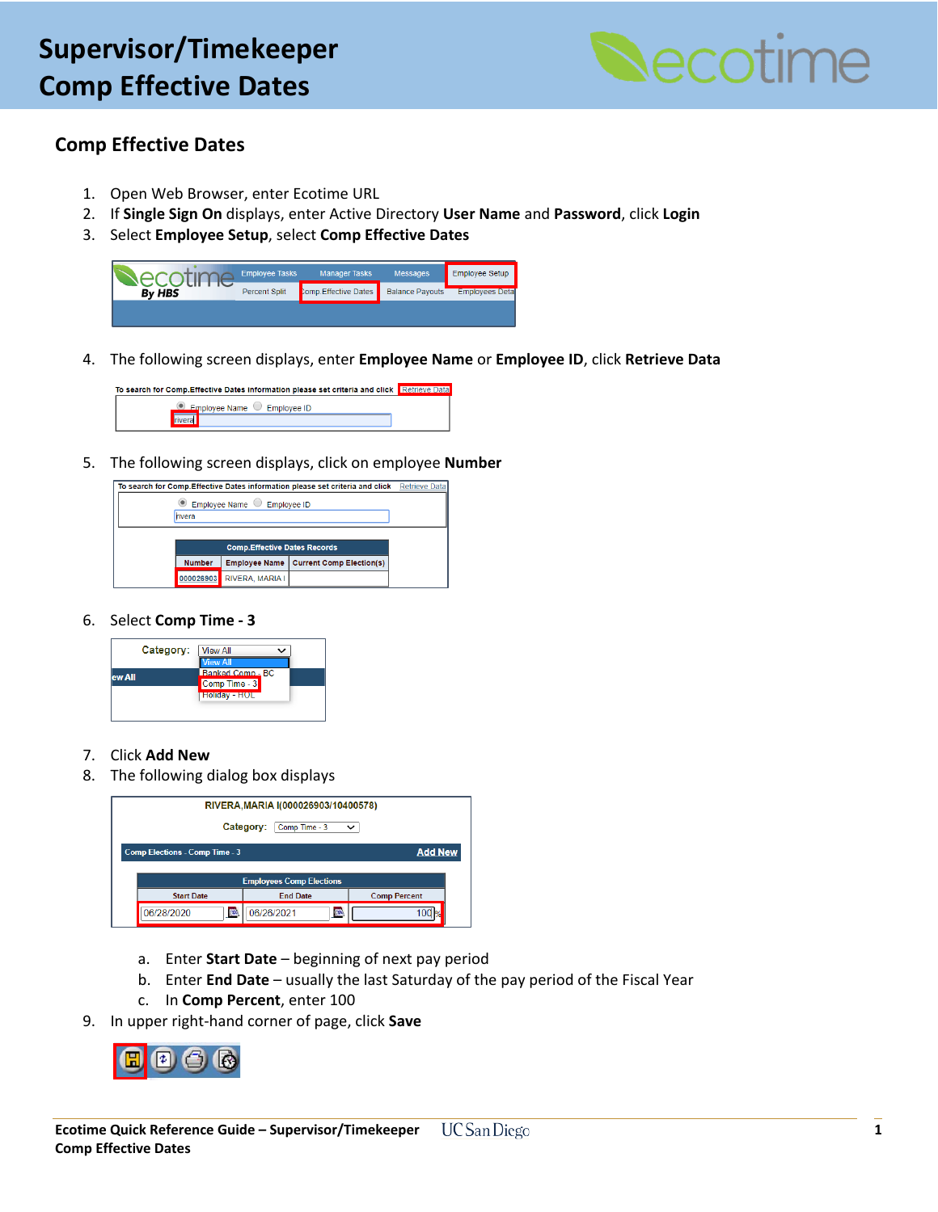

## **Comp Effective Dates**

- 1. Open Web Browser, enter Ecotime URL
- 2. If **Single Sign On** displays, enter Active Directory **User Name** and **Password**, click **Login**
- 3. Select **Employee Setup**, select **Comp Effective Dates**



4. The following screen displays, enter **Employee Name** or **Employee ID**, click **Retrieve Data**

To search for Comp.Effective Dates information please set criteria and click Retr Employee Name C Employee ID rivera

5. The following screen displays, click on employee **Number**



#### 6. Select **Comp Time - 3**



#### 7. Click **Add New**

8. The following dialog box displays



- a. Enter **Start Date** beginning of next pay period
- b. Enter **End Date** usually the last Saturday of the pay period of the Fiscal Year
- c. In **Comp Percent**, enter 100
- 9. In upper right-hand corner of page, click **Save**